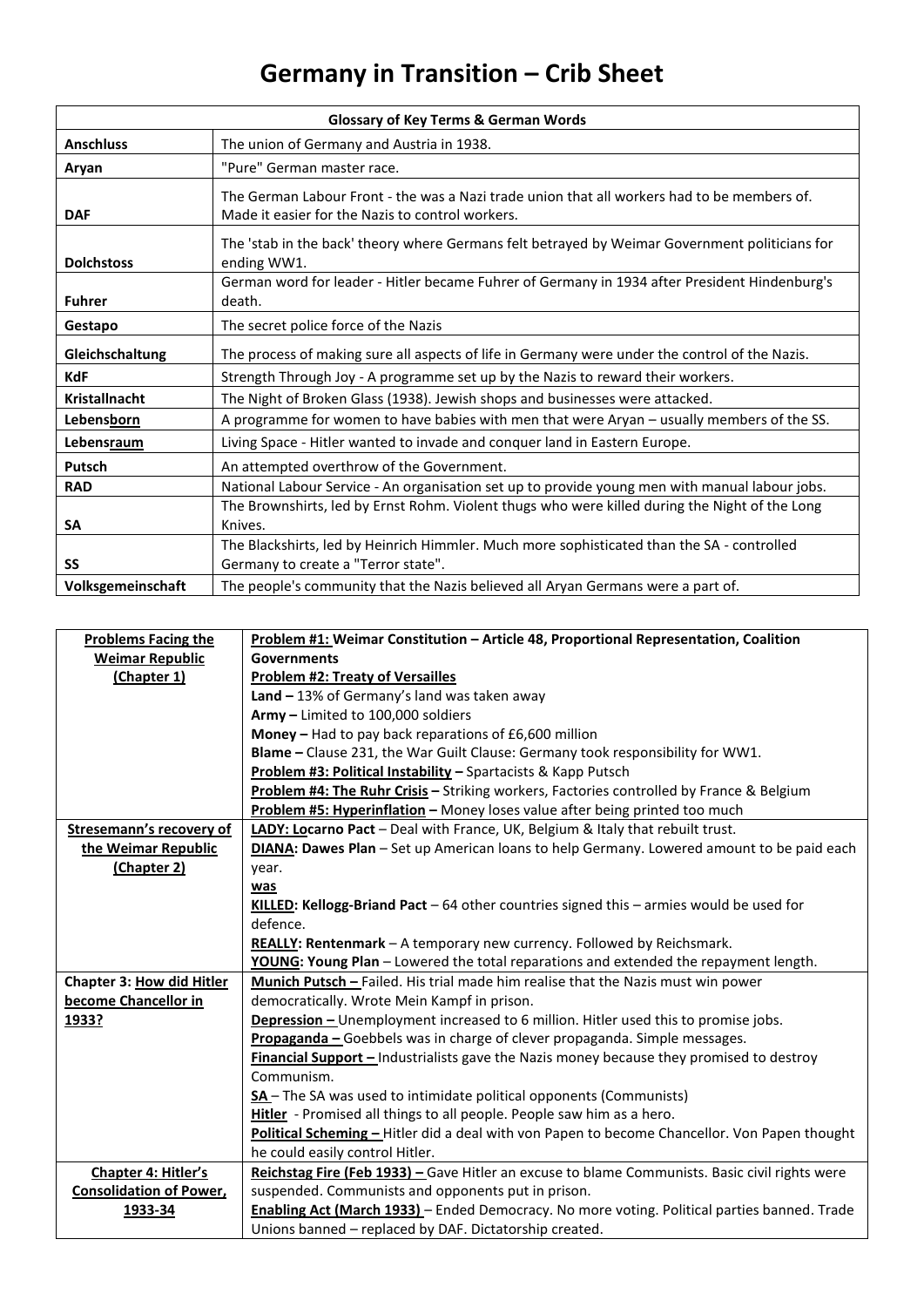## **Germany in Transition – Crib Sheet**

| <b>Glossary of Key Terms &amp; German Words</b> |                                                                                                                                                 |  |
|-------------------------------------------------|-------------------------------------------------------------------------------------------------------------------------------------------------|--|
| <b>Anschluss</b>                                | The union of Germany and Austria in 1938.                                                                                                       |  |
| Aryan                                           | "Pure" German master race.                                                                                                                      |  |
| <b>DAF</b>                                      | The German Labour Front - the was a Nazi trade union that all workers had to be members of.<br>Made it easier for the Nazis to control workers. |  |
| <b>Dolchstoss</b>                               | The 'stab in the back' theory where Germans felt betrayed by Weimar Government politicians for<br>ending WW1.                                   |  |
| <b>Fuhrer</b>                                   | German word for leader - Hitler became Fuhrer of Germany in 1934 after President Hindenburg's<br>death.                                         |  |
| Gestapo                                         | The secret police force of the Nazis                                                                                                            |  |
| Gleichschaltung                                 | The process of making sure all aspects of life in Germany were under the control of the Nazis.                                                  |  |
| <b>KdF</b>                                      | Strength Through Joy - A programme set up by the Nazis to reward their workers.                                                                 |  |
| <b>Kristallnacht</b>                            | The Night of Broken Glass (1938). Jewish shops and businesses were attacked.                                                                    |  |
| <b>Lebensborn</b>                               | A programme for women to have babies with men that were Aryan - usually members of the SS.                                                      |  |
| Lebensraum                                      | Living Space - Hitler wanted to invade and conquer land in Eastern Europe.                                                                      |  |
| Putsch                                          | An attempted overthrow of the Government.                                                                                                       |  |
| <b>RAD</b>                                      | National Labour Service - An organisation set up to provide young men with manual labour jobs.                                                  |  |
|                                                 | The Brownshirts, led by Ernst Rohm. Violent thugs who were killed during the Night of the Long                                                  |  |
| SA                                              | Knives.                                                                                                                                         |  |
|                                                 | The Blackshirts, led by Heinrich Himmler. Much more sophisticated than the SA - controlled                                                      |  |
| <b>SS</b>                                       | Germany to create a "Terror state".                                                                                                             |  |
| Volksgemeinschaft                               | The people's community that the Nazis believed all Aryan Germans were a part of.                                                                |  |

| <b>Problems Facing the</b>      | Problem #1: Weimar Constitution - Article 48, Proportional Representation, Coalition                                                                   |
|---------------------------------|--------------------------------------------------------------------------------------------------------------------------------------------------------|
| <b>Weimar Republic</b>          | <b>Governments</b>                                                                                                                                     |
| (Chapter 1)                     | <b>Problem #2: Treaty of Versailles</b>                                                                                                                |
|                                 | Land $-13%$ of Germany's land was taken away                                                                                                           |
|                                 | Army - Limited to 100,000 soldiers                                                                                                                     |
|                                 | Money - Had to pay back reparations of £6,600 million                                                                                                  |
|                                 | Blame - Clause 231, the War Guilt Clause: Germany took responsibility for WW1.                                                                         |
|                                 | Problem #3: Political Instability - Spartacists & Kapp Putsch                                                                                          |
|                                 | Problem #4: The Ruhr Crisis - Striking workers, Factories controlled by France & Belgium                                                               |
|                                 | Problem #5: Hyperinflation - Money loses value after being printed too much                                                                            |
| <b>Stresemann's recovery of</b> | LADY: Locarno Pact - Deal with France, UK, Belgium & Italy that rebuilt trust.                                                                         |
| the Weimar Republic             | DIANA: Dawes Plan - Set up American loans to help Germany. Lowered amount to be paid each                                                              |
| (Chapter 2)                     | year.                                                                                                                                                  |
|                                 | was                                                                                                                                                    |
|                                 | KILLED: Kellogg-Briand Pact - 64 other countries signed this - armies would be used for                                                                |
|                                 | defence.                                                                                                                                               |
|                                 |                                                                                                                                                        |
|                                 | REALLY: Rentenmark - A temporary new currency. Followed by Reichsmark.                                                                                 |
|                                 | YOUNG: Young Plan - Lowered the total reparations and extended the repayment length.                                                                   |
| Chapter 3: How did Hitler       | Munich Putsch - Failed. His trial made him realise that the Nazis must win power                                                                       |
| become Chancellor in            | democratically. Wrote Mein Kampf in prison.                                                                                                            |
| 1933?                           | <b>Depression</b> - Unemployment increased to 6 million. Hitler used this to promise jobs.                                                             |
|                                 | Propaganda - Goebbels was in charge of clever propaganda. Simple messages.                                                                             |
|                                 | Financial Support - Industrialists gave the Nazis money because they promised to destroy                                                               |
|                                 | Communism.                                                                                                                                             |
|                                 | SA-The SA was used to intimidate political opponents (Communists)                                                                                      |
|                                 | Hitler - Promised all things to all people. People saw him as a hero.                                                                                  |
|                                 | Political Scheming - Hitler did a deal with von Papen to become Chancellor. Von Papen thought                                                          |
|                                 | he could easily control Hitler.                                                                                                                        |
| Chapter 4: Hitler's             | Reichstag Fire (Feb 1933) - Gave Hitler an excuse to blame Communists. Basic civil rights were                                                         |
| <b>Consolidation of Power,</b>  | suspended. Communists and opponents put in prison.                                                                                                     |
| 1933-34                         | Enabling Act (March 1933) - Ended Democracy. No more voting. Political parties banned. Trade<br>Unions banned - replaced by DAF. Dictatorship created. |